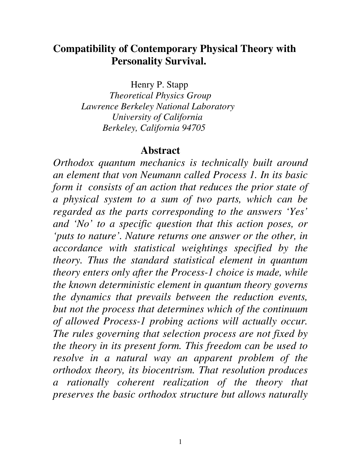# **Compatibility of Contemporary Physical Theory with Personality Survival.**

Henry P. Stapp

 *Theoretical Physics Group Lawrence Berkeley National Laboratory University of California Berkeley, California 94705*

#### **Abstract**

*Orthodox quantum mechanics is technically built around an element that von Neumann called Process 1. In its basic form it consists of an action that reduces the prior state of a physical system to a sum of two parts, which can be regarded as the parts corresponding to the answers 'Yes' and 'No' to a specific question that this action poses, or 'puts to nature'. Nature returns one answer or the other, in accordance with statistical weightings specified by the theory. Thus the standard statistical element in quantum theory enters only after the Process-1 choice is made, while the known deterministic element in quantum theory governs the dynamics that prevails between the reduction events, but not the process that determines which of the continuum of allowed Process-1 probing actions will actually occur. The rules governing that selection process are not fixed by the theory in its present form. This freedom can be used to resolve in a natural way an apparent problem of the orthodox theory, its biocentrism. That resolution produces a rationally coherent realization of the theory that preserves the basic orthodox structure but allows naturally*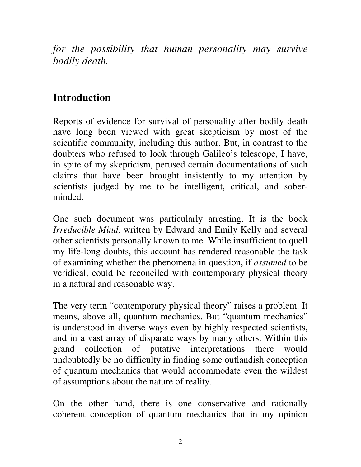*for the possibility that human personality may survive bodily death.* 

# **Introduction**

Reports of evidence for survival of personality after bodily death have long been viewed with great skepticism by most of the scientific community, including this author. But, in contrast to the doubters who refused to look through Galileo's telescope, I have, in spite of my skepticism, perused certain documentations of such claims that have been brought insistently to my attention by scientists judged by me to be intelligent, critical, and soberminded.

One such document was particularly arresting. It is the book *Irreducible Mind,* written by Edward and Emily Kelly and several other scientists personally known to me. While insufficient to quell my life-long doubts, this account has rendered reasonable the task of examining whether the phenomena in question, if *assumed* to be veridical, could be reconciled with contemporary physical theory in a natural and reasonable way.

The very term "contemporary physical theory" raises a problem. It means, above all, quantum mechanics. But "quantum mechanics" is understood in diverse ways even by highly respected scientists, and in a vast array of disparate ways by many others. Within this grand collection of putative interpretations there would undoubtedly be no difficulty in finding some outlandish conception of quantum mechanics that would accommodate even the wildest of assumptions about the nature of reality.

On the other hand, there is one conservative and rationally coherent conception of quantum mechanics that in my opinion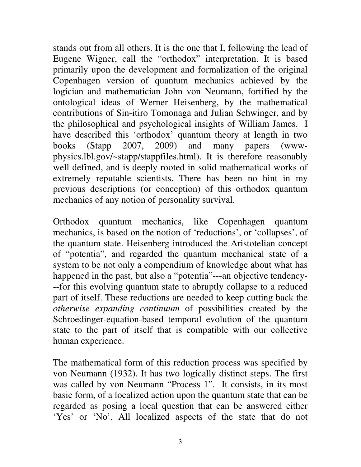stands out from all others. It is the one that I, following the lead of Eugene Wigner, call the "orthodox" interpretation. It is based primarily upon the development and formalization of the original Copenhagen version of quantum mechanics achieved by the logician and mathematician John von Neumann, fortified by the ontological ideas of Werner Heisenberg, by the mathematical contributions of Sin-itiro Tomonaga and Julian Schwinger, and by the philosophical and psychological insights of William James. I have described this 'orthodox' quantum theory at length in two books (Stapp 2007, 2009) and many papers (wwwphysics.lbl.gov/~stapp/stappfiles.html). It is therefore reasonably well defined, and is deeply rooted in solid mathematical works of extremely reputable scientists. There has been no hint in my previous descriptions (or conception) of this orthodox quantum mechanics of any notion of personality survival.

Orthodox quantum mechanics, like Copenhagen quantum mechanics, is based on the notion of 'reductions', or 'collapses', of the quantum state. Heisenberg introduced the Aristotelian concept of "potentia", and regarded the quantum mechanical state of a system to be not only a compendium of knowledge about what has happened in the past, but also a "potentia"---an objective tendency- --for this evolving quantum state to abruptly collapse to a reduced part of itself. These reductions are needed to keep cutting back the *otherwise expanding continuum* of possibilities created by the Schroedinger-equation-based temporal evolution of the quantum state to the part of itself that is compatible with our collective human experience.

The mathematical form of this reduction process was specified by von Neumann (1932). It has two logically distinct steps. The first was called by von Neumann "Process 1". It consists, in its most basic form, of a localized action upon the quantum state that can be regarded as posing a local question that can be answered either 'Yes' or 'No'. All localized aspects of the state that do not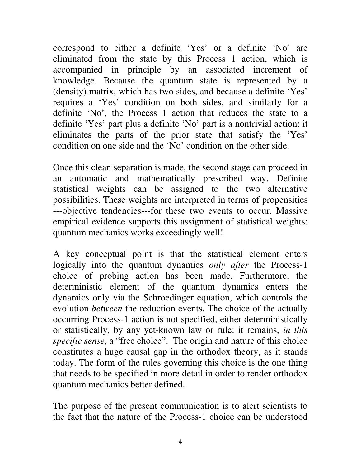correspond to either a definite 'Yes' or a definite 'No' are eliminated from the state by this Process 1 action, which is accompanied in principle by an associated increment of knowledge. Because the quantum state is represented by a (density) matrix, which has two sides, and because a definite 'Yes' requires a 'Yes' condition on both sides, and similarly for a definite 'No', the Process 1 action that reduces the state to a definite 'Yes' part plus a definite 'No' part is a nontrivial action: it eliminates the parts of the prior state that satisfy the 'Yes' condition on one side and the 'No' condition on the other side.

Once this clean separation is made, the second stage can proceed in an automatic and mathematically prescribed way. Definite statistical weights can be assigned to the two alternative possibilities. These weights are interpreted in terms of propensities ---objective tendencies---for these two events to occur. Massive empirical evidence supports this assignment of statistical weights: quantum mechanics works exceedingly well!

A key conceptual point is that the statistical element enters logically into the quantum dynamics *only after* the Process-1 choice of probing action has been made. Furthermore, the deterministic element of the quantum dynamics enters the dynamics only via the Schroedinger equation, which controls the evolution *between* the reduction events. The choice of the actually occurring Process-1 action is not specified, either deterministically or statistically, by any yet-known law or rule: it remains, *in this specific sense*, a "free choice". The origin and nature of this choice constitutes a huge causal gap in the orthodox theory, as it stands today. The form of the rules governing this choice is the one thing that needs to be specified in more detail in order to render orthodox quantum mechanics better defined.

The purpose of the present communication is to alert scientists to the fact that the nature of the Process-1 choice can be understood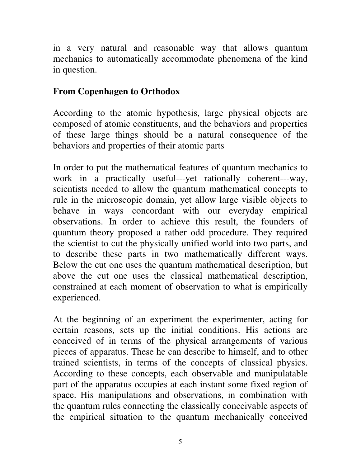in a very natural and reasonable way that allows quantum mechanics to automatically accommodate phenomena of the kind in question.

# **From Copenhagen to Orthodox**

According to the atomic hypothesis, large physical objects are composed of atomic constituents, and the behaviors and properties of these large things should be a natural consequence of the behaviors and properties of their atomic parts

In order to put the mathematical features of quantum mechanics to work in a practically useful---yet rationally coherent---way, scientists needed to allow the quantum mathematical concepts to rule in the microscopic domain, yet allow large visible objects to behave in ways concordant with our everyday empirical observations. In order to achieve this result, the founders of quantum theory proposed a rather odd procedure. They required the scientist to cut the physically unified world into two parts, and to describe these parts in two mathematically different ways. Below the cut one uses the quantum mathematical description, but above the cut one uses the classical mathematical description, constrained at each moment of observation to what is empirically experienced.

At the beginning of an experiment the experimenter, acting for certain reasons, sets up the initial conditions. His actions are conceived of in terms of the physical arrangements of various pieces of apparatus. These he can describe to himself, and to other trained scientists, in terms of the concepts of classical physics. According to these concepts, each observable and manipulatable part of the apparatus occupies at each instant some fixed region of space. His manipulations and observations, in combination with the quantum rules connecting the classically conceivable aspects of the empirical situation to the quantum mechanically conceived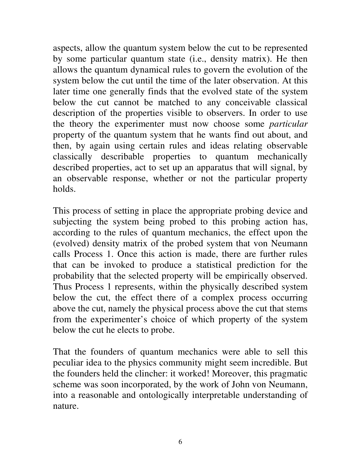aspects, allow the quantum system below the cut to be represented by some particular quantum state (i.e., density matrix). He then allows the quantum dynamical rules to govern the evolution of the system below the cut until the time of the later observation. At this later time one generally finds that the evolved state of the system below the cut cannot be matched to any conceivable classical description of the properties visible to observers. In order to use the theory the experimenter must now choose some *particular* property of the quantum system that he wants find out about, and then, by again using certain rules and ideas relating observable classically describable properties to quantum mechanically described properties, act to set up an apparatus that will signal, by an observable response, whether or not the particular property holds.

This process of setting in place the appropriate probing device and subjecting the system being probed to this probing action has, according to the rules of quantum mechanics, the effect upon the (evolved) density matrix of the probed system that von Neumann calls Process 1. Once this action is made, there are further rules that can be invoked to produce a statistical prediction for the probability that the selected property will be empirically observed. Thus Process 1 represents, within the physically described system below the cut, the effect there of a complex process occurring above the cut, namely the physical process above the cut that stems from the experimenter's choice of which property of the system below the cut he elects to probe.

That the founders of quantum mechanics were able to sell this peculiar idea to the physics community might seem incredible. But the founders held the clincher: it worked! Moreover, this pragmatic scheme was soon incorporated, by the work of John von Neumann, into a reasonable and ontologically interpretable understanding of nature.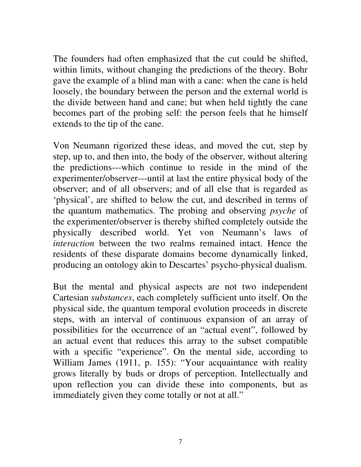The founders had often emphasized that the cut could be shifted, within limits, without changing the predictions of the theory. Bohr gave the example of a blind man with a cane: when the cane is held loosely, the boundary between the person and the external world is the divide between hand and cane; but when held tightly the cane becomes part of the probing self: the person feels that he himself extends to the tip of the cane.

Von Neumann rigorized these ideas, and moved the cut, step by step, up to, and then into, the body of the observer, without altering the predictions---which continue to reside in the mind of the experimenter/observer---until at last the entire physical body of the observer; and of all observers; and of all else that is regarded as 'physical', are shifted to below the cut, and described in terms of the quantum mathematics. The probing and observing *psyche* of the experimenter/observer is thereby shifted completely outside the physically described world. Yet von Neumann's laws of *interaction* between the two realms remained intact. Hence the residents of these disparate domains become dynamically linked, producing an ontology akin to Descartes' psycho-physical dualism.

But the mental and physical aspects are not two independent Cartesian *substances*, each completely sufficient unto itself. On the physical side, the quantum temporal evolution proceeds in discrete steps, with an interval of continuous expansion of an array of possibilities for the occurrence of an "actual event", followed by an actual event that reduces this array to the subset compatible with a specific "experience". On the mental side, according to William James (1911, p. 155): "Your acquaintance with reality grows literally by buds or drops of perception. Intellectually and upon reflection you can divide these into components, but as immediately given they come totally or not at all."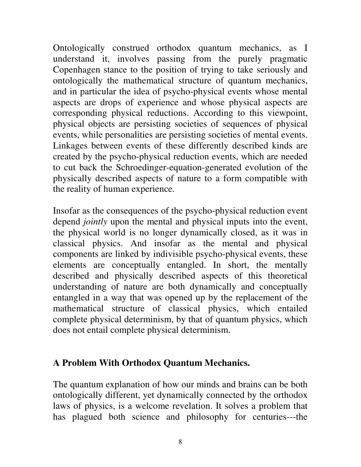Ontologically construed orthodox quantum mechanics, as I understand it, involves passing from the purely pragmatic Copenhagen stance to the position of trying to take seriously and ontologically the mathematical structure of quantum mechanics, and in particular the idea of psycho-physical events whose mental aspects are drops of experience and whose physical aspects are corresponding physical reductions. According to this viewpoint, physical objects are persisting societies of sequences of physical events, while personalities are persisting societies of mental events. Linkages between events of these differently described kinds are created by the psycho-physical reduction events, which are needed to cut back the Schroedinger-equation-generated evolution of the physically described aspects of nature to a form compatible with the reality of human experience.

Insofar as the consequences of the psycho-physical reduction event depend *jointly* upon the mental and physical inputs into the event, the physical world is no longer dynamically closed, as it was in classical physics. And insofar as the mental and physical components are linked by indivisible psycho-physical events, these elements are conceptually entangled. In short, the mentally described and physically described aspects of this theoretical understanding of nature are both dynamically and conceptually entangled in a way that was opened up by the replacement of the mathematical structure of classical physics, which entailed complete physical determinism, by that of quantum physics, which does not entail complete physical determinism.

#### **A Problem With Orthodox Quantum Mechanics.**

The quantum explanation of how our minds and brains can be both ontologically different, yet dynamically connected by the orthodox laws of physics, is a welcome revelation. It solves a problem that has plagued both science and philosophy for centuries---the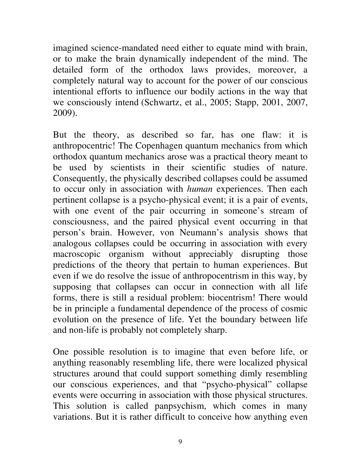imagined science-mandated need either to equate mind with brain, or to make the brain dynamically independent of the mind. The detailed form of the orthodox laws provides, moreover, a completely natural way to account for the power of our conscious intentional efforts to influence our bodily actions in the way that we consciously intend (Schwartz, et al., 2005; Stapp, 2001, 2007, 2009).

But the theory, as described so far, has one flaw: it is anthropocentric! The Copenhagen quantum mechanics from which orthodox quantum mechanics arose was a practical theory meant to be used by scientists in their scientific studies of nature. Consequently, the physically described collapses could be assumed to occur only in association with *human* experiences. Then each pertinent collapse is a psycho-physical event; it is a pair of events, with one event of the pair occurring in someone's stream of consciousness, and the paired physical event occurring in that person's brain. However, von Neumann's analysis shows that analogous collapses could be occurring in association with every macroscopic organism without appreciably disrupting those predictions of the theory that pertain to human experiences. But even if we do resolve the issue of anthropocentrism in this way, by supposing that collapses can occur in connection with all life forms, there is still a residual problem: biocentrism! There would be in principle a fundamental dependence of the process of cosmic evolution on the presence of life. Yet the boundary between life and non-life is probably not completely sharp.

One possible resolution is to imagine that even before life, or anything reasonably resembling life, there were localized physical structures around that could support something dimly resembling our conscious experiences, and that "psycho-physical" collapse events were occurring in association with those physical structures. This solution is called panpsychism, which comes in many variations. But it is rather difficult to conceive how anything even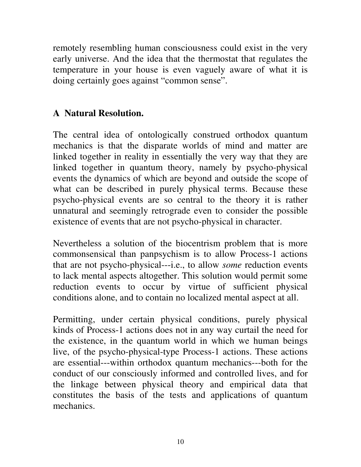remotely resembling human consciousness could exist in the very early universe. And the idea that the thermostat that regulates the temperature in your house is even vaguely aware of what it is doing certainly goes against "common sense".

### **A Natural Resolution.**

The central idea of ontologically construed orthodox quantum mechanics is that the disparate worlds of mind and matter are linked together in reality in essentially the very way that they are linked together in quantum theory, namely by psycho-physical events the dynamics of which are beyond and outside the scope of what can be described in purely physical terms. Because these psycho-physical events are so central to the theory it is rather unnatural and seemingly retrograde even to consider the possible existence of events that are not psycho-physical in character.

Nevertheless a solution of the biocentrism problem that is more commonsensical than panpsychism is to allow Process-1 actions that are not psycho-physical---i.e., to allow *some* reduction events to lack mental aspects altogether. This solution would permit some reduction events to occur by virtue of sufficient physical conditions alone, and to contain no localized mental aspect at all.

Permitting, under certain physical conditions, purely physical kinds of Process-1 actions does not in any way curtail the need for the existence, in the quantum world in which we human beings live, of the psycho-physical-type Process-1 actions. These actions are essential---within orthodox quantum mechanics---both for the conduct of our consciously informed and controlled lives, and for the linkage between physical theory and empirical data that constitutes the basis of the tests and applications of quantum mechanics.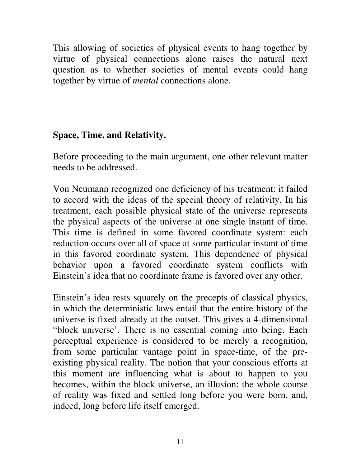This allowing of societies of physical events to hang together by virtue of physical connections alone raises the natural next question as to whether societies of mental events could hang together by virtue of *mental* connections alone.

## **Space, Time, and Relativity.**

Before proceeding to the main argument, one other relevant matter needs to be addressed.

Von Neumann recognized one deficiency of his treatment: it failed to accord with the ideas of the special theory of relativity. In his treatment, each possible physical state of the universe represents the physical aspects of the universe at one single instant of time. This time is defined in some favored coordinate system: each reduction occurs over all of space at some particular instant of time in this favored coordinate system. This dependence of physical behavior upon a favored coordinate system conflicts with Einstein's idea that no coordinate frame is favored over any other.

Einstein's idea rests squarely on the precepts of classical physics, in which the deterministic laws entail that the entire history of the universe is fixed already at the outset. This gives a 4-dimensional "block universe'. There is no essential coming into being. Each perceptual experience is considered to be merely a recognition, from some particular vantage point in space-time, of the preexisting physical reality. The notion that your conscious efforts at this moment are influencing what is about to happen to you becomes, within the block universe, an illusion: the whole course of reality was fixed and settled long before you were born, and, indeed, long before life itself emerged.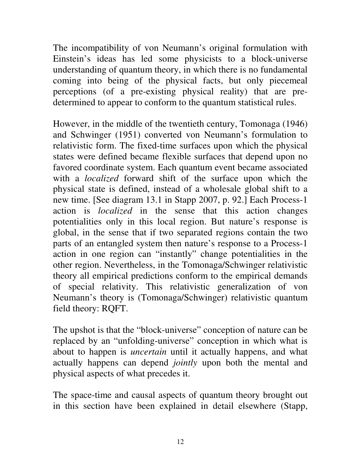The incompatibility of von Neumann's original formulation with Einstein's ideas has led some physicists to a block-universe understanding of quantum theory, in which there is no fundamental coming into being of the physical facts, but only piecemeal perceptions (of a pre-existing physical reality) that are predetermined to appear to conform to the quantum statistical rules.

However, in the middle of the twentieth century, Tomonaga (1946) and Schwinger (1951) converted von Neumann's formulation to relativistic form. The fixed-time surfaces upon which the physical states were defined became flexible surfaces that depend upon no favored coordinate system. Each quantum event became associated with a *localized* forward shift of the surface upon which the physical state is defined, instead of a wholesale global shift to a new time. [See diagram 13.1 in Stapp 2007, p. 92.] Each Process-1 action is *localized* in the sense that this action changes potentialities only in this local region. But nature's response is global, in the sense that if two separated regions contain the two parts of an entangled system then nature's response to a Process-1 action in one region can "instantly" change potentialities in the other region. Nevertheless, in the Tomonaga/Schwinger relativistic theory all empirical predictions conform to the empirical demands of special relativity. This relativistic generalization of von Neumann's theory is (Tomonaga/Schwinger) relativistic quantum field theory: RQFT.

The upshot is that the "block-universe" conception of nature can be replaced by an "unfolding-universe" conception in which what is about to happen is *uncertain* until it actually happens, and what actually happens can depend *jointly* upon both the mental and physical aspects of what precedes it.

The space-time and causal aspects of quantum theory brought out in this section have been explained in detail elsewhere (Stapp,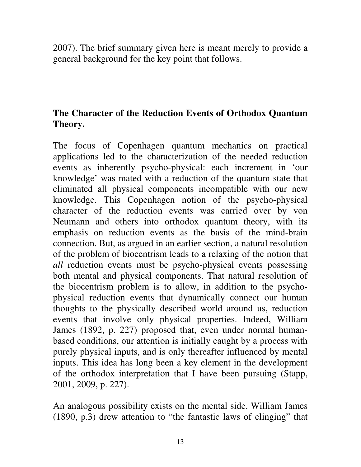2007). The brief summary given here is meant merely to provide a general background for the key point that follows.

# **The Character of the Reduction Events of Orthodox Quantum Theory.**

The focus of Copenhagen quantum mechanics on practical applications led to the characterization of the needed reduction events as inherently psycho-physical: each increment in 'our knowledge' was mated with a reduction of the quantum state that eliminated all physical components incompatible with our new knowledge. This Copenhagen notion of the psycho-physical character of the reduction events was carried over by von Neumann and others into orthodox quantum theory, with its emphasis on reduction events as the basis of the mind-brain connection. But, as argued in an earlier section, a natural resolution of the problem of biocentrism leads to a relaxing of the notion that *all* reduction events must be psycho-physical events possessing both mental and physical components. That natural resolution of the biocentrism problem is to allow, in addition to the psychophysical reduction events that dynamically connect our human thoughts to the physically described world around us, reduction events that involve only physical properties. Indeed, William James (1892, p. 227) proposed that, even under normal humanbased conditions, our attention is initially caught by a process with purely physical inputs, and is only thereafter influenced by mental inputs. This idea has long been a key element in the development of the orthodox interpretation that I have been pursuing (Stapp, 2001, 2009, p. 227).

An analogous possibility exists on the mental side. William James (1890, p.3) drew attention to "the fantastic laws of clinging" that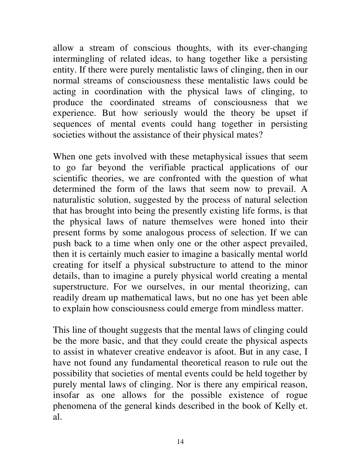allow a stream of conscious thoughts, with its ever-changing intermingling of related ideas, to hang together like a persisting entity. If there were purely mentalistic laws of clinging, then in our normal streams of consciousness these mentalistic laws could be acting in coordination with the physical laws of clinging, to produce the coordinated streams of consciousness that we experience. But how seriously would the theory be upset if sequences of mental events could hang together in persisting societies without the assistance of their physical mates?

When one gets involved with these metaphysical issues that seem to go far beyond the verifiable practical applications of our scientific theories, we are confronted with the question of what determined the form of the laws that seem now to prevail. A naturalistic solution, suggested by the process of natural selection that has brought into being the presently existing life forms, is that the physical laws of nature themselves were honed into their present forms by some analogous process of selection. If we can push back to a time when only one or the other aspect prevailed, then it is certainly much easier to imagine a basically mental world creating for itself a physical substructure to attend to the minor details, than to imagine a purely physical world creating a mental superstructure. For we ourselves, in our mental theorizing, can readily dream up mathematical laws, but no one has yet been able to explain how consciousness could emerge from mindless matter.

This line of thought suggests that the mental laws of clinging could be the more basic, and that they could create the physical aspects to assist in whatever creative endeavor is afoot. But in any case, I have not found any fundamental theoretical reason to rule out the possibility that societies of mental events could be held together by purely mental laws of clinging. Nor is there any empirical reason, insofar as one allows for the possible existence of rogue phenomena of the general kinds described in the book of Kelly et. al.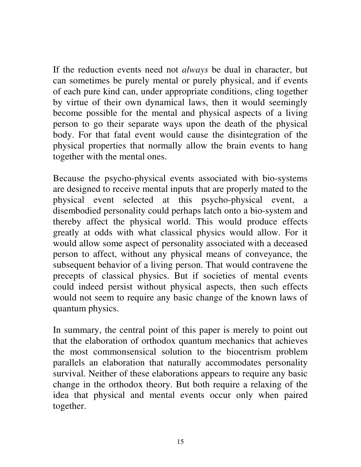If the reduction events need not *always* be dual in character, but can sometimes be purely mental or purely physical, and if events of each pure kind can, under appropriate conditions, cling together by virtue of their own dynamical laws, then it would seemingly become possible for the mental and physical aspects of a living person to go their separate ways upon the death of the physical body. For that fatal event would cause the disintegration of the physical properties that normally allow the brain events to hang together with the mental ones.

Because the psycho-physical events associated with bio-systems are designed to receive mental inputs that are properly mated to the physical event selected at this psycho-physical event, a disembodied personality could perhaps latch onto a bio-system and thereby affect the physical world. This would produce effects greatly at odds with what classical physics would allow. For it would allow some aspect of personality associated with a deceased person to affect, without any physical means of conveyance, the subsequent behavior of a living person. That would contravene the precepts of classical physics. But if societies of mental events could indeed persist without physical aspects, then such effects would not seem to require any basic change of the known laws of quantum physics.

In summary, the central point of this paper is merely to point out that the elaboration of orthodox quantum mechanics that achieves the most commonsensical solution to the biocentrism problem parallels an elaboration that naturally accommodates personality survival. Neither of these elaborations appears to require any basic change in the orthodox theory. But both require a relaxing of the idea that physical and mental events occur only when paired together.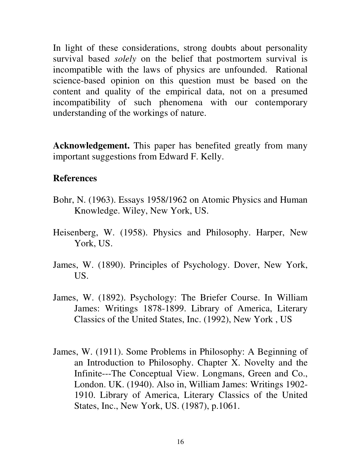In light of these considerations, strong doubts about personality survival based *solely* on the belief that postmortem survival is incompatible with the laws of physics are unfounded. Rational science-based opinion on this question must be based on the content and quality of the empirical data, not on a presumed incompatibility of such phenomena with our contemporary understanding of the workings of nature.

**Acknowledgement.** This paper has benefited greatly from many important suggestions from Edward F. Kelly.

#### **References**

- Bohr, N. (1963). Essays 1958/1962 on Atomic Physics and Human Knowledge. Wiley, New York, US.
- Heisenberg, W. (1958). Physics and Philosophy. Harper, New York, US.
- James, W. (1890). Principles of Psychology. Dover, New York, US.
- James, W. (1892). Psychology: The Briefer Course. In William James: Writings 1878-1899. Library of America, Literary Classics of the United States, Inc. (1992), New York , US
- James, W. (1911). Some Problems in Philosophy: A Beginning of an Introduction to Philosophy. Chapter X. Novelty and the Infinite---The Conceptual View. Longmans, Green and Co., London. UK. (1940). Also in, William James: Writings 1902- 1910. Library of America, Literary Classics of the United States, Inc., New York, US. (1987), p.1061.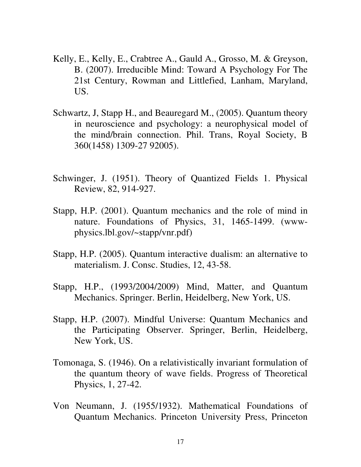- Kelly, E., Kelly, E., Crabtree A., Gauld A., Grosso, M. & Greyson, B. (2007). Irreducible Mind: Toward A Psychology For The 21st Century, Rowman and Littlefied, Lanham, Maryland, US.
- Schwartz, J, Stapp H., and Beauregard M., (2005). Quantum theory in neuroscience and psychology: a neurophysical model of the mind/brain connection. Phil. Trans, Royal Society, B 360(1458) 1309-27 92005).
- Schwinger, J. (1951). Theory of Quantized Fields 1. Physical Review, 82, 914-927.
- Stapp, H.P. (2001). Quantum mechanics and the role of mind in nature. Foundations of Physics, 31, 1465-1499. (wwwphysics.lbl.gov/~stapp/vnr.pdf)
- Stapp, H.P. (2005). Quantum interactive dualism: an alternative to materialism. J. Consc. Studies, 12, 43-58.
- Stapp, H.P., (1993/2004/2009) Mind, Matter, and Quantum Mechanics. Springer. Berlin, Heidelberg, New York, US.
- Stapp, H.P. (2007). Mindful Universe: Quantum Mechanics and the Participating Observer. Springer, Berlin, Heidelberg, New York, US.
- Tomonaga, S. (1946). On a relativistically invariant formulation of the quantum theory of wave fields. Progress of Theoretical Physics, 1, 27-42.
- Von Neumann, J. (1955/1932). Mathematical Foundations of Quantum Mechanics. Princeton University Press, Princeton